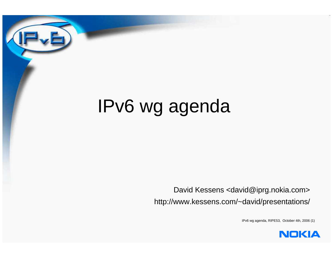# IPv6 wg agenda

David Kessens <david@iprg.nokia.com>http://www.kessens.com/~david/presentations/

IPv6 wg agenda, RIPE53, October 4th, 2006 (1)

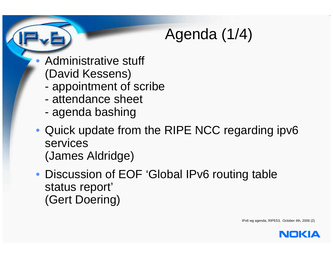## Agenda (1/4)

• Administrative stuff (David Kessens)

- appointment of scribe
- attendance sheet
- agenda bashing
- Quick update from the RIPE NCC regarding ipv6services(James Aldridge)
- Discussion of EOF 'Global IPv6 routing tablestatus report'(Gert Doering)

IPv6 wg agenda, RIPE53, October 4th, 2006 (2)

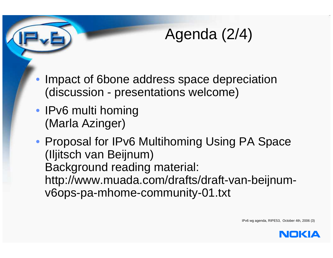## Agenda (2/4)

- • Impact of 6bone address space depreciation(discussion - presentations welcome)
- IPv6 multi homing(Marla Azinger)
- Proposal for IPv6 Multihoming Using PA Space(Iljitsch van Beijnum) Background reading material: http://www.muada.com/drafts/draft-van-beijnumv6ops-pa-mhome-community-01.txt

IPv6 wg agenda, RIPE53, October 4th, 2006 (3)

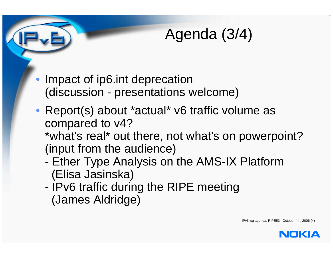#### Agenda (3/4)

- • Impact of ip6.int deprecation(discussion - presentations welcome)
- Report(s) about \*actual\* v6 traffic volume ascompared to v4? \*what's real\* out there, not what's on powerpoint?
	- (input from the audience)
	- Ether Type Analysis on the AMS-IX Platform(Elisa Jasinska)
	- IPv6 traffic during the RIPE meeting(James Aldridge)

IPv6 wg agenda, RIPE53, October 4th, 2006 (4)